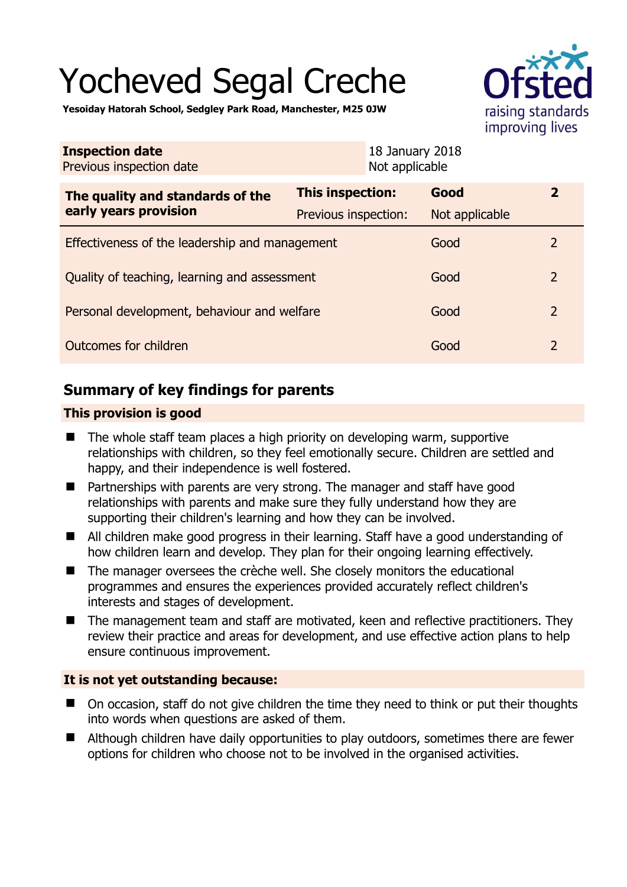# Yocheved Segal Creche





| <b>Inspection date</b><br>Previous inspection date        |                         | 18 January 2018<br>Not applicable |                |               |
|-----------------------------------------------------------|-------------------------|-----------------------------------|----------------|---------------|
| The quality and standards of the<br>early years provision | <b>This inspection:</b> |                                   | Good           | $\mathbf{2}$  |
|                                                           | Previous inspection:    |                                   | Not applicable |               |
| Effectiveness of the leadership and management            |                         |                                   | Good           | $\mathcal{L}$ |
| Quality of teaching, learning and assessment              |                         |                                   | Good           | 2             |
| Personal development, behaviour and welfare               |                         |                                   | Good           | 2             |
| Outcomes for children                                     |                         |                                   | Good           | 2             |

# **Summary of key findings for parents**

## **This provision is good**

- The whole staff team places a high priority on developing warm, supportive relationships with children, so they feel emotionally secure. Children are settled and happy, and their independence is well fostered.
- **Partnerships with parents are very strong. The manager and staff have good** relationships with parents and make sure they fully understand how they are supporting their children's learning and how they can be involved.
- All children make good progress in their learning. Staff have a good understanding of how children learn and develop. They plan for their ongoing learning effectively.
- The manager oversees the crèche well. She closely monitors the educational programmes and ensures the experiences provided accurately reflect children's interests and stages of development.
- The management team and staff are motivated, keen and reflective practitioners. They review their practice and areas for development, and use effective action plans to help ensure continuous improvement.

## **It is not yet outstanding because:**

- On occasion, staff do not give children the time they need to think or put their thoughts into words when questions are asked of them.
- Although children have daily opportunities to play outdoors, sometimes there are fewer options for children who choose not to be involved in the organised activities.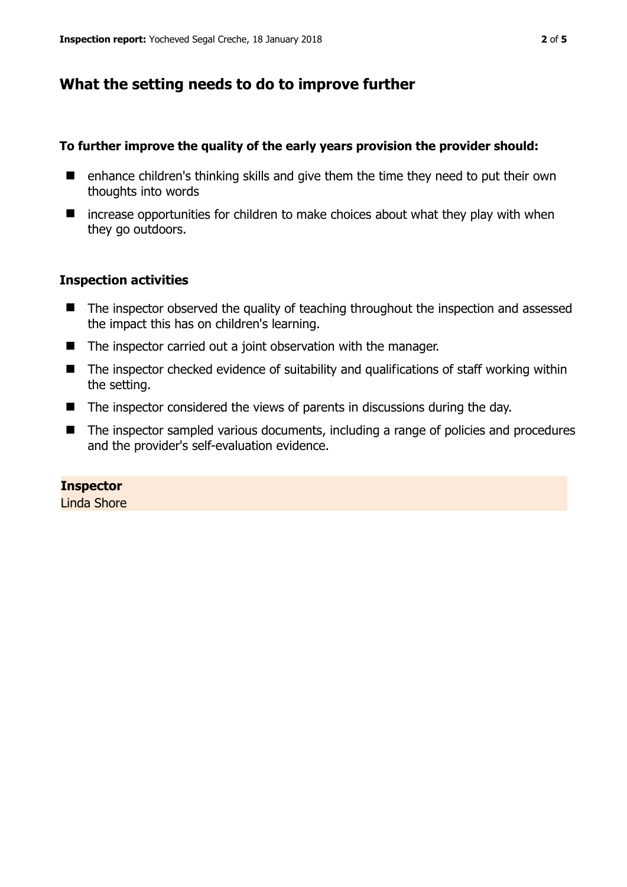# **What the setting needs to do to improve further**

#### **To further improve the quality of the early years provision the provider should:**

- $\blacksquare$  enhance children's thinking skills and give them the time they need to put their own thoughts into words
- $\blacksquare$  increase opportunities for children to make choices about what they play with when they go outdoors.

#### **Inspection activities**

- The inspector observed the quality of teaching throughout the inspection and assessed the impact this has on children's learning.
- The inspector carried out a joint observation with the manager.
- The inspector checked evidence of suitability and qualifications of staff working within the setting.
- The inspector considered the views of parents in discussions during the day.
- The inspector sampled various documents, including a range of policies and procedures and the provider's self-evaluation evidence.

### **Inspector**

Linda Shore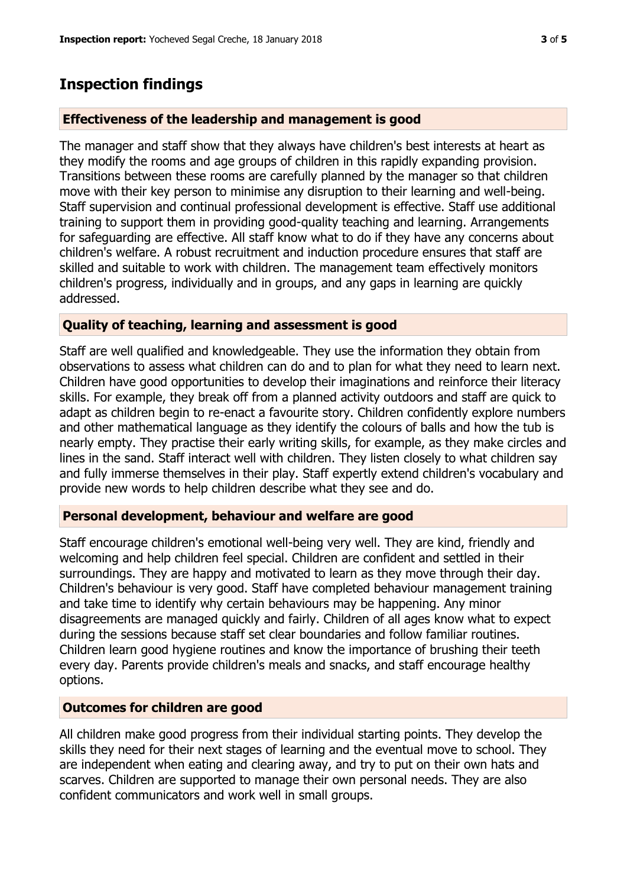## **Inspection findings**

#### **Effectiveness of the leadership and management is good**

The manager and staff show that they always have children's best interests at heart as they modify the rooms and age groups of children in this rapidly expanding provision. Transitions between these rooms are carefully planned by the manager so that children move with their key person to minimise any disruption to their learning and well-being. Staff supervision and continual professional development is effective. Staff use additional training to support them in providing good-quality teaching and learning. Arrangements for safeguarding are effective. All staff know what to do if they have any concerns about children's welfare. A robust recruitment and induction procedure ensures that staff are skilled and suitable to work with children. The management team effectively monitors children's progress, individually and in groups, and any gaps in learning are quickly addressed.

#### **Quality of teaching, learning and assessment is good**

Staff are well qualified and knowledgeable. They use the information they obtain from observations to assess what children can do and to plan for what they need to learn next. Children have good opportunities to develop their imaginations and reinforce their literacy skills. For example, they break off from a planned activity outdoors and staff are quick to adapt as children begin to re-enact a favourite story. Children confidently explore numbers and other mathematical language as they identify the colours of balls and how the tub is nearly empty. They practise their early writing skills, for example, as they make circles and lines in the sand. Staff interact well with children. They listen closely to what children say and fully immerse themselves in their play. Staff expertly extend children's vocabulary and provide new words to help children describe what they see and do.

#### **Personal development, behaviour and welfare are good**

Staff encourage children's emotional well-being very well. They are kind, friendly and welcoming and help children feel special. Children are confident and settled in their surroundings. They are happy and motivated to learn as they move through their day. Children's behaviour is very good. Staff have completed behaviour management training and take time to identify why certain behaviours may be happening. Any minor disagreements are managed quickly and fairly. Children of all ages know what to expect during the sessions because staff set clear boundaries and follow familiar routines. Children learn good hygiene routines and know the importance of brushing their teeth every day. Parents provide children's meals and snacks, and staff encourage healthy options.

#### **Outcomes for children are good**

All children make good progress from their individual starting points. They develop the skills they need for their next stages of learning and the eventual move to school. They are independent when eating and clearing away, and try to put on their own hats and scarves. Children are supported to manage their own personal needs. They are also confident communicators and work well in small groups.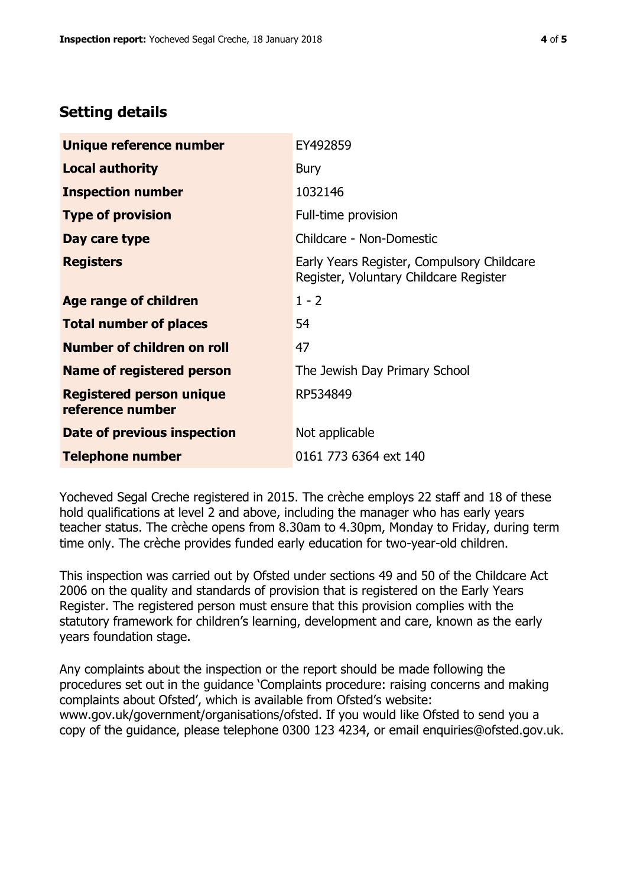# **Setting details**

| Unique reference number                             | EY492859                                                                             |  |
|-----------------------------------------------------|--------------------------------------------------------------------------------------|--|
| <b>Local authority</b>                              | <b>Bury</b>                                                                          |  |
| <b>Inspection number</b>                            | 1032146                                                                              |  |
| <b>Type of provision</b>                            | Full-time provision                                                                  |  |
| Day care type                                       | Childcare - Non-Domestic                                                             |  |
| <b>Registers</b>                                    | Early Years Register, Compulsory Childcare<br>Register, Voluntary Childcare Register |  |
| Age range of children                               | $1 - 2$                                                                              |  |
| <b>Total number of places</b>                       | 54                                                                                   |  |
| Number of children on roll                          | 47                                                                                   |  |
| Name of registered person                           | The Jewish Day Primary School                                                        |  |
| <b>Registered person unique</b><br>reference number | RP534849                                                                             |  |
| <b>Date of previous inspection</b>                  | Not applicable                                                                       |  |
| <b>Telephone number</b>                             | 0161 773 6364 ext 140                                                                |  |

Yocheved Segal Creche registered in 2015. The crèche employs 22 staff and 18 of these hold qualifications at level 2 and above, including the manager who has early years teacher status. The crèche opens from 8.30am to 4.30pm, Monday to Friday, during term time only. The crèche provides funded early education for two-year-old children.

This inspection was carried out by Ofsted under sections 49 and 50 of the Childcare Act 2006 on the quality and standards of provision that is registered on the Early Years Register. The registered person must ensure that this provision complies with the statutory framework for children's learning, development and care, known as the early years foundation stage.

Any complaints about the inspection or the report should be made following the procedures set out in the guidance 'Complaints procedure: raising concerns and making complaints about Ofsted', which is available from Ofsted's website: www.gov.uk/government/organisations/ofsted. If you would like Ofsted to send you a copy of the guidance, please telephone 0300 123 4234, or email enquiries@ofsted.gov.uk.